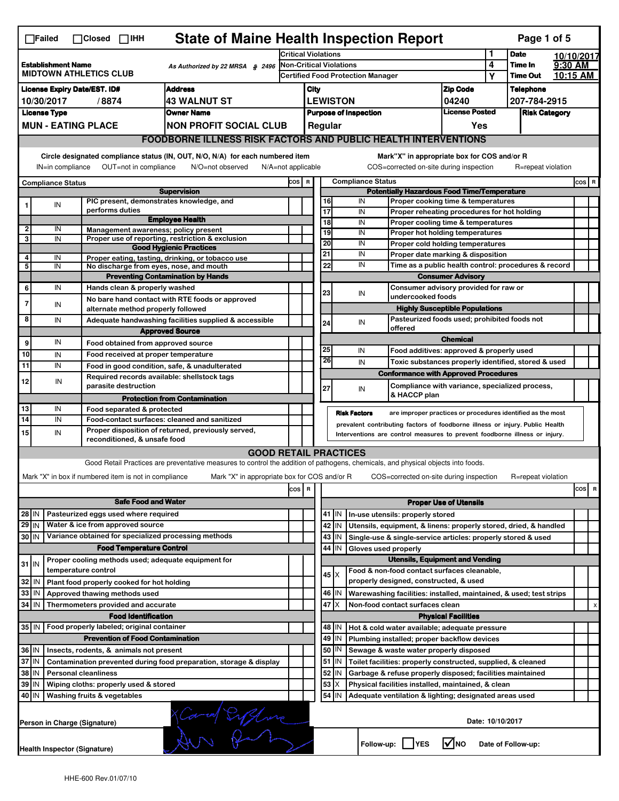|                                                                                               | <b>State of Maine Health Inspection Report</b><br>Page 1 of 5<br>$\Box$ Failed<br>$\Box$ Closed $\Box$ IHH                                                                |                                                                                                                                                                                             |                                                                                                                                                                   |                                                                            |                                                                  |  |                   |                                                    |                                                                                                       |                               |                      |                    |          |         |                           |
|-----------------------------------------------------------------------------------------------|---------------------------------------------------------------------------------------------------------------------------------------------------------------------------|---------------------------------------------------------------------------------------------------------------------------------------------------------------------------------------------|-------------------------------------------------------------------------------------------------------------------------------------------------------------------|----------------------------------------------------------------------------|------------------------------------------------------------------|--|-------------------|----------------------------------------------------|-------------------------------------------------------------------------------------------------------|-------------------------------|----------------------|--------------------|----------|---------|---------------------------|
|                                                                                               |                                                                                                                                                                           |                                                                                                                                                                                             |                                                                                                                                                                   | <b>Critical Violations</b>                                                 |                                                                  |  |                   |                                                    |                                                                                                       | 1                             | <b>Date</b>          | 10/10/2017         |          |         |                           |
| <b>Establishment Name</b><br>As Authorized by 22 MRSA § 2496<br><b>MIDTOWN ATHLETICS CLUB</b> |                                                                                                                                                                           |                                                                                                                                                                                             |                                                                                                                                                                   | <b>Non-Critical Violations</b><br><b>Certified Food Protection Manager</b> |                                                                  |  |                   |                                                    |                                                                                                       | 4                             | Time In              | 9:30 AM            |          |         |                           |
|                                                                                               |                                                                                                                                                                           |                                                                                                                                                                                             |                                                                                                                                                                   |                                                                            |                                                                  |  |                   |                                                    |                                                                                                       |                               | Υ                    | <b>Time Out</b>    | 10:15 AM |         |                           |
| <b>Address</b><br><b>License Expiry Date/EST. ID#</b>                                         |                                                                                                                                                                           |                                                                                                                                                                                             |                                                                                                                                                                   |                                                                            | City                                                             |  |                   |                                                    |                                                                                                       | <b>Zip Code</b>               |                      | <b>Telephone</b>   |          |         |                           |
| <b>43 WALNUT ST</b><br>10/30/2017<br>/8874                                                    |                                                                                                                                                                           |                                                                                                                                                                                             |                                                                                                                                                                   |                                                                            | <b>LEWISTON</b><br>04240                                         |  |                   |                                                    |                                                                                                       |                               | 207-784-2915         |                    |          |         |                           |
|                                                                                               | <b>License Type</b>                                                                                                                                                       |                                                                                                                                                                                             | <b>Owner Name</b>                                                                                                                                                 |                                                                            | <b>License Posted</b><br><b>Purpose of Inspection</b><br>Regular |  |                   |                                                    |                                                                                                       |                               | <b>Risk Category</b> |                    |          |         |                           |
|                                                                                               |                                                                                                                                                                           | <b>MUN - EATING PLACE</b>                                                                                                                                                                   | <b>NON PROFIT SOCIAL CLUB</b>                                                                                                                                     |                                                                            |                                                                  |  |                   |                                                    |                                                                                                       | Yes                           |                      |                    |          |         |                           |
|                                                                                               |                                                                                                                                                                           |                                                                                                                                                                                             | <b>FOODBORNE ILLNESS RISK FACTORS AND PUBLIC HEALTH INTERVENTIONS</b>                                                                                             |                                                                            |                                                                  |  |                   |                                                    |                                                                                                       |                               |                      |                    |          |         |                           |
|                                                                                               | Circle designated compliance status (IN, OUT, N/O, N/A) for each numbered item<br>OUT=not in compliance<br>IN=in compliance<br>N/O=not observed<br>$N/A = not$ applicable |                                                                                                                                                                                             |                                                                                                                                                                   |                                                                            |                                                                  |  |                   |                                                    | Mark"X" in appropriate box for COS and/or R<br>COS=corrected on-site during inspection                |                               |                      | R=repeat violation |          |         |                           |
| <b>Compliance Status</b>                                                                      |                                                                                                                                                                           |                                                                                                                                                                                             |                                                                                                                                                                   | COS R                                                                      |                                                                  |  |                   | <b>Compliance Status</b>                           |                                                                                                       |                               |                      |                    |          | $cos$ R |                           |
| <b>Supervision</b>                                                                            |                                                                                                                                                                           |                                                                                                                                                                                             |                                                                                                                                                                   |                                                                            |                                                                  |  |                   | <b>Potentially Hazardous Food Time/Temperature</b> |                                                                                                       |                               |                      |                    |          |         |                           |
|                                                                                               | ${\sf IN}$                                                                                                                                                                | PIC present, demonstrates knowledge, and<br>performs duties                                                                                                                                 |                                                                                                                                                                   |                                                                            |                                                                  |  | 16<br>17          | IN<br>IN                                           | Proper cooking time & temperatures<br>Proper reheating procedures for hot holding                     |                               |                      |                    |          |         |                           |
|                                                                                               |                                                                                                                                                                           |                                                                                                                                                                                             | <b>Employee Health</b>                                                                                                                                            |                                                                            |                                                                  |  | $\overline{18}$   | IN                                                 | Proper cooling time & temperatures                                                                    |                               |                      |                    |          |         |                           |
| 2                                                                                             | IN                                                                                                                                                                        | Management awareness; policy present                                                                                                                                                        |                                                                                                                                                                   |                                                                            |                                                                  |  | 19                | IN                                                 | Proper hot holding temperatures                                                                       |                               |                      |                    |          |         |                           |
| 3                                                                                             | IN                                                                                                                                                                        |                                                                                                                                                                                             | Proper use of reporting, restriction & exclusion<br><b>Good Hygienic Practices</b>                                                                                |                                                                            |                                                                  |  | 20                | IN                                                 | Proper cold holding temperatures                                                                      |                               |                      |                    |          |         |                           |
| 4                                                                                             | IN                                                                                                                                                                        |                                                                                                                                                                                             | Proper eating, tasting, drinking, or tobacco use                                                                                                                  |                                                                            |                                                                  |  | 21                | IN                                                 | Proper date marking & disposition                                                                     |                               |                      |                    |          |         |                           |
| 5                                                                                             | IN                                                                                                                                                                        | No discharge from eyes, nose, and mouth                                                                                                                                                     |                                                                                                                                                                   |                                                                            |                                                                  |  | 22                | IN                                                 | Time as a public health control: procedures & record                                                  |                               |                      |                    |          |         |                           |
|                                                                                               |                                                                                                                                                                           |                                                                                                                                                                                             | <b>Preventing Contamination by Hands</b>                                                                                                                          |                                                                            |                                                                  |  |                   |                                                    |                                                                                                       | <b>Consumer Advisory</b>      |                      |                    |          |         |                           |
| 6                                                                                             | IN                                                                                                                                                                        | Hands clean & properly washed                                                                                                                                                               |                                                                                                                                                                   |                                                                            |                                                                  |  | 23                | IN                                                 | Consumer advisory provided for raw or                                                                 |                               |                      |                    |          |         |                           |
| $\overline{7}$                                                                                | IN                                                                                                                                                                        |                                                                                                                                                                                             | No bare hand contact with RTE foods or approved                                                                                                                   |                                                                            |                                                                  |  |                   |                                                    | undercooked foods                                                                                     |                               |                      |                    |          |         |                           |
| 8                                                                                             |                                                                                                                                                                           | alternate method properly followed                                                                                                                                                          |                                                                                                                                                                   |                                                                            |                                                                  |  |                   |                                                    | <b>Highly Susceptible Populations</b><br>Pasteurized foods used; prohibited foods not                 |                               |                      |                    |          |         |                           |
|                                                                                               | IN                                                                                                                                                                        |                                                                                                                                                                                             | Adequate handwashing facilities supplied & accessible                                                                                                             |                                                                            |                                                                  |  | 24                | IN                                                 | offered                                                                                               |                               |                      |                    |          |         |                           |
| 9                                                                                             | IN                                                                                                                                                                        |                                                                                                                                                                                             | <b>Approved Source</b>                                                                                                                                            |                                                                            |                                                                  |  |                   |                                                    |                                                                                                       | <b>Chemical</b>               |                      |                    |          |         |                           |
| 10                                                                                            |                                                                                                                                                                           | Food obtained from approved source                                                                                                                                                          |                                                                                                                                                                   |                                                                            |                                                                  |  | 25                | IN                                                 | Food additives: approved & properly used                                                              |                               |                      |                    |          |         |                           |
| 11                                                                                            | IN<br>IN                                                                                                                                                                  | Food received at proper temperature                                                                                                                                                         |                                                                                                                                                                   |                                                                            |                                                                  |  | 26                | IN                                                 | Toxic substances properly identified, stored & used                                                   |                               |                      |                    |          |         |                           |
|                                                                                               |                                                                                                                                                                           | Required records available: shellstock tags                                                                                                                                                 | Food in good condition, safe, & unadulterated                                                                                                                     |                                                                            |                                                                  |  |                   |                                                    | <b>Conformance with Approved Procedures</b>                                                           |                               |                      |                    |          |         |                           |
| 12                                                                                            | IN                                                                                                                                                                        | parasite destruction                                                                                                                                                                        |                                                                                                                                                                   |                                                                            |                                                                  |  | 27                | IN                                                 | Compliance with variance, specialized process,                                                        |                               |                      |                    |          |         |                           |
|                                                                                               |                                                                                                                                                                           |                                                                                                                                                                                             | <b>Protection from Contamination</b>                                                                                                                              |                                                                            |                                                                  |  |                   |                                                    | & HACCP plan                                                                                          |                               |                      |                    |          |         |                           |
| 13                                                                                            | IN                                                                                                                                                                        | Food separated & protected                                                                                                                                                                  |                                                                                                                                                                   |                                                                            |                                                                  |  |                   | <b>Risk Factors</b>                                |                                                                                                       |                               |                      |                    |          |         |                           |
| 14                                                                                            | IN                                                                                                                                                                        | are improper practices or procedures identified as the most<br>Food-contact surfaces: cleaned and sanitized<br>prevalent contributing factors of foodborne illness or injury. Public Health |                                                                                                                                                                   |                                                                            |                                                                  |  |                   |                                                    |                                                                                                       |                               |                      |                    |          |         |                           |
| 15                                                                                            | IN                                                                                                                                                                        |                                                                                                                                                                                             | Proper disposition of returned, previously served,                                                                                                                | Interventions are control measures to prevent foodborne illness or injury. |                                                                  |  |                   |                                                    |                                                                                                       |                               |                      |                    |          |         |                           |
|                                                                                               |                                                                                                                                                                           | reconditioned, & unsafe food                                                                                                                                                                |                                                                                                                                                                   |                                                                            |                                                                  |  |                   |                                                    |                                                                                                       |                               |                      |                    |          |         |                           |
|                                                                                               |                                                                                                                                                                           |                                                                                                                                                                                             | <b>GOOD RETAIL PRACTICES</b><br>Good Retail Practices are preventative measures to control the addition of pathogens, chemicals, and physical objects into foods. |                                                                            |                                                                  |  |                   |                                                    |                                                                                                       |                               |                      |                    |          |         |                           |
|                                                                                               |                                                                                                                                                                           |                                                                                                                                                                                             |                                                                                                                                                                   |                                                                            |                                                                  |  |                   |                                                    |                                                                                                       |                               |                      |                    |          |         |                           |
|                                                                                               |                                                                                                                                                                           | Mark "X" in box if numbered item is not in compliance                                                                                                                                       | Mark "X" in appropriate box for COS and/or R                                                                                                                      |                                                                            |                                                                  |  |                   |                                                    | COS=corrected on-site during inspection                                                               |                               |                      | R=repeat violation |          |         |                           |
|                                                                                               |                                                                                                                                                                           |                                                                                                                                                                                             |                                                                                                                                                                   | $\cos$                                                                     | R                                                                |  |                   |                                                    |                                                                                                       |                               |                      |                    |          | cos     | R                         |
|                                                                                               |                                                                                                                                                                           | <b>Safe Food and Water</b>                                                                                                                                                                  |                                                                                                                                                                   |                                                                            |                                                                  |  |                   |                                                    |                                                                                                       | <b>Proper Use of Utensils</b> |                      |                    |          |         |                           |
| $28$ IN                                                                                       |                                                                                                                                                                           | Pasteurized eggs used where required                                                                                                                                                        |                                                                                                                                                                   |                                                                            |                                                                  |  | $41$ M            |                                                    | In-use utensils: properly stored                                                                      |                               |                      |                    |          |         |                           |
| $29$ IN                                                                                       |                                                                                                                                                                           | Water & ice from approved source                                                                                                                                                            |                                                                                                                                                                   |                                                                            |                                                                  |  | 42 IN             |                                                    | Utensils, equipment, & linens: properly stored, dried, & handled                                      |                               |                      |                    |          |         |                           |
| 30 IN                                                                                         |                                                                                                                                                                           | Variance obtained for specialized processing methods                                                                                                                                        |                                                                                                                                                                   |                                                                            |                                                                  |  | $43$ IN           |                                                    | Single-use & single-service articles: properly stored & used                                          |                               |                      |                    |          |         |                           |
|                                                                                               |                                                                                                                                                                           | <b>Food Temperature Control</b>                                                                                                                                                             |                                                                                                                                                                   |                                                                            |                                                                  |  | 44<br>ΙIΝ         | Gloves used properly                               |                                                                                                       |                               |                      |                    |          |         |                           |
| $31$ IN                                                                                       |                                                                                                                                                                           | Proper cooling methods used; adequate equipment for                                                                                                                                         |                                                                                                                                                                   |                                                                            |                                                                  |  |                   |                                                    | <b>Utensils, Equipment and Vending</b>                                                                |                               |                      |                    |          |         |                           |
|                                                                                               |                                                                                                                                                                           | temperature control                                                                                                                                                                         |                                                                                                                                                                   |                                                                            |                                                                  |  | $45 \times$       |                                                    | Food & non-food contact surfaces cleanable,<br>properly designed, constructed, & used                 |                               |                      |                    |          |         |                           |
| 32<br>33                                                                                      | IN                                                                                                                                                                        | Plant food properly cooked for hot holding                                                                                                                                                  |                                                                                                                                                                   |                                                                            |                                                                  |  |                   |                                                    |                                                                                                       |                               |                      |                    |          |         |                           |
| 34                                                                                            | IN<br><b>IN</b>                                                                                                                                                           | Approved thawing methods used                                                                                                                                                               |                                                                                                                                                                   |                                                                            |                                                                  |  | 46   IN<br>47 I X |                                                    | Warewashing facilities: installed, maintained, & used; test strips<br>Non-food contact surfaces clean |                               |                      |                    |          |         | $\boldsymbol{\mathsf{x}}$ |
|                                                                                               |                                                                                                                                                                           | Thermometers provided and accurate<br><b>Food Identification</b>                                                                                                                            |                                                                                                                                                                   |                                                                            |                                                                  |  |                   |                                                    |                                                                                                       | <b>Physical Facilities</b>    |                      |                    |          |         |                           |
| 35 IN                                                                                         |                                                                                                                                                                           | Food properly labeled; original container                                                                                                                                                   |                                                                                                                                                                   |                                                                            |                                                                  |  | 48   IN           |                                                    | Hot & cold water available; adequate pressure                                                         |                               |                      |                    |          |         |                           |
|                                                                                               |                                                                                                                                                                           | <b>Prevention of Food Contamination</b>                                                                                                                                                     |                                                                                                                                                                   |                                                                            |                                                                  |  | $49$ IN           |                                                    | Plumbing installed; proper backflow devices                                                           |                               |                      |                    |          |         |                           |
| 36 IN                                                                                         |                                                                                                                                                                           | Insects, rodents, & animals not present                                                                                                                                                     |                                                                                                                                                                   |                                                                            |                                                                  |  | 50   IN           |                                                    | Sewage & waste water properly disposed                                                                |                               |                      |                    |          |         |                           |
| 37 IN                                                                                         |                                                                                                                                                                           |                                                                                                                                                                                             | Contamination prevented during food preparation, storage & display                                                                                                |                                                                            |                                                                  |  | $51$ $\vert$ IN   |                                                    | Toilet facilities: properly constructed, supplied, & cleaned                                          |                               |                      |                    |          |         |                           |
| 38                                                                                            | IN                                                                                                                                                                        | <b>Personal cleanliness</b>                                                                                                                                                                 |                                                                                                                                                                   |                                                                            |                                                                  |  | 52<br>IN          |                                                    | Garbage & refuse properly disposed; facilities maintained                                             |                               |                      |                    |          |         |                           |
| 39                                                                                            | IN                                                                                                                                                                        | Wiping cloths: properly used & stored                                                                                                                                                       |                                                                                                                                                                   |                                                                            |                                                                  |  | 53<br>X           |                                                    | Physical facilities installed, maintained, & clean                                                    |                               |                      |                    |          |         |                           |
| 40 IN                                                                                         |                                                                                                                                                                           | Washing fruits & vegetables                                                                                                                                                                 |                                                                                                                                                                   |                                                                            |                                                                  |  | 54 J IN           |                                                    |                                                                                                       |                               |                      |                    |          |         |                           |
|                                                                                               | Adequate ventilation & lighting; designated areas used<br>Kland England<br>Date: 10/10/2017<br>Person in Charge (Signature)                                               |                                                                                                                                                                                             |                                                                                                                                                                   |                                                                            |                                                                  |  |                   |                                                    |                                                                                                       |                               |                      |                    |          |         |                           |
|                                                                                               | l√lno<br>Follow-up:  <br><b>IYES</b><br>Date of Follow-up:<br><b>Health Inspector (Signature)</b>                                                                         |                                                                                                                                                                                             |                                                                                                                                                                   |                                                                            |                                                                  |  |                   |                                                    |                                                                                                       |                               |                      |                    |          |         |                           |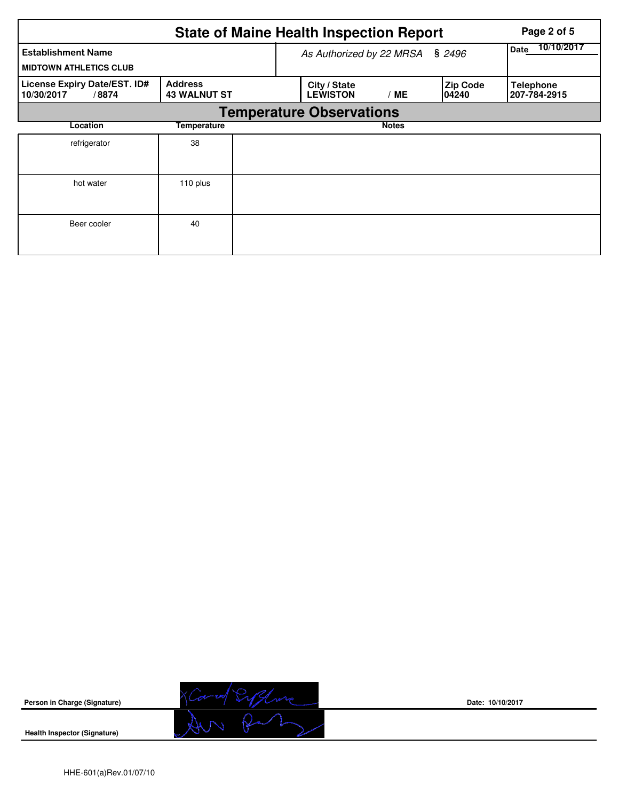|                                                            |                                       |                          | <b>State of Maine Health Inspection Report</b> | Page 2 of 5  |                           |                                  |
|------------------------------------------------------------|---------------------------------------|--------------------------|------------------------------------------------|--------------|---------------------------|----------------------------------|
| <b>Establishment Name</b><br><b>MIDTOWN ATHLETICS CLUB</b> |                                       | As Authorized by 22 MRSA | 10/10/2017<br>Date                             |              |                           |                                  |
| License Expiry Date/EST. ID#<br>/8874<br>10/30/2017        | <b>Address</b><br><b>43 WALNUT ST</b> |                          | City / State<br><b>LEWISTON</b>                | /ME          | <b>Zip Code</b><br>104240 | <b>Telephone</b><br>207-784-2915 |
|                                                            |                                       |                          | <b>Temperature Observations</b>                |              |                           |                                  |
| Location<br>Temperature                                    |                                       |                          |                                                | <b>Notes</b> |                           |                                  |
| refrigerator                                               | 38                                    |                          |                                                |              |                           |                                  |
| hot water                                                  | 110 plus                              |                          |                                                |              |                           |                                  |
| Beer cooler                                                | 40                                    |                          |                                                |              |                           |                                  |



**Date: 10/10/2017**

**Health Inspector (Signature)**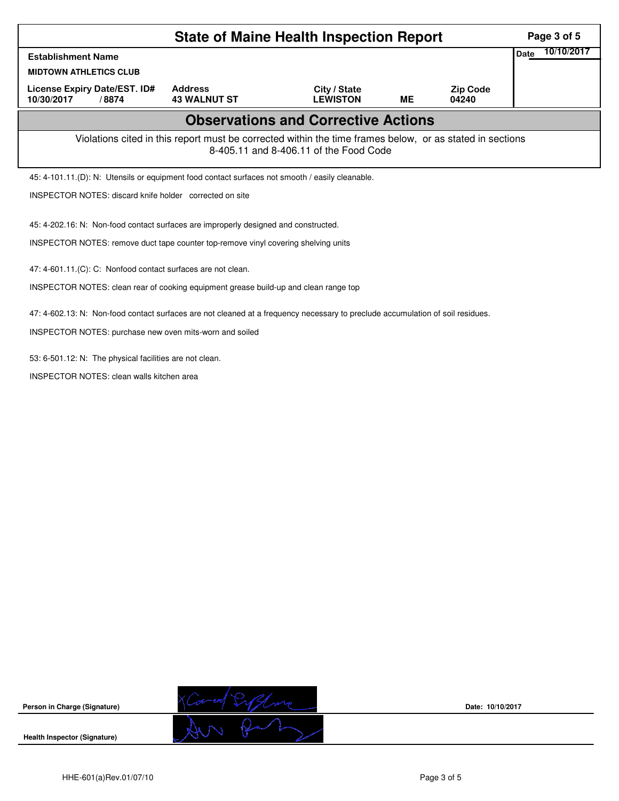|                                                                                                                                | Page 3 of 5                                                                          |                                                                                     |                                                                                                                                                    |           |                          |  |  |  |  |
|--------------------------------------------------------------------------------------------------------------------------------|--------------------------------------------------------------------------------------|-------------------------------------------------------------------------------------|----------------------------------------------------------------------------------------------------------------------------------------------------|-----------|--------------------------|--|--|--|--|
| <b>Establishment Name</b>                                                                                                      | 10/10/2017<br>Date                                                                   |                                                                                     |                                                                                                                                                    |           |                          |  |  |  |  |
| <b>MIDTOWN ATHLETICS CLUB</b>                                                                                                  |                                                                                      |                                                                                     |                                                                                                                                                    |           |                          |  |  |  |  |
| License Expiry Date/EST. ID#<br>10/30/2017<br>/8874                                                                            |                                                                                      | <b>Address</b><br><b>43 WALNUT ST</b>                                               | City / State<br><b>LEWISTON</b>                                                                                                                    | <b>ME</b> | <b>Zip Code</b><br>04240 |  |  |  |  |
|                                                                                                                                |                                                                                      |                                                                                     | <b>Observations and Corrective Actions</b>                                                                                                         |           |                          |  |  |  |  |
|                                                                                                                                |                                                                                      |                                                                                     | Violations cited in this report must be corrected within the time frames below, or as stated in sections<br>8-405.11 and 8-406.11 of the Food Code |           |                          |  |  |  |  |
|                                                                                                                                |                                                                                      |                                                                                     | 45: 4-101.11.(D): N: Utensils or equipment food contact surfaces not smooth / easily cleanable.                                                    |           |                          |  |  |  |  |
|                                                                                                                                | INSPECTOR NOTES: discard knife holder corrected on site                              |                                                                                     |                                                                                                                                                    |           |                          |  |  |  |  |
|                                                                                                                                |                                                                                      | 45: 4-202.16: N: Non-food contact surfaces are improperly designed and constructed. |                                                                                                                                                    |           |                          |  |  |  |  |
|                                                                                                                                |                                                                                      | INSPECTOR NOTES: remove duct tape counter top-remove vinyl covering shelving units  |                                                                                                                                                    |           |                          |  |  |  |  |
|                                                                                                                                | 47: 4-601.11.(C): C: Nonfood contact surfaces are not clean.                         |                                                                                     |                                                                                                                                                    |           |                          |  |  |  |  |
|                                                                                                                                | INSPECTOR NOTES: clean rear of cooking equipment grease build-up and clean range top |                                                                                     |                                                                                                                                                    |           |                          |  |  |  |  |
| 47: 4-602.13: N: Non-food contact surfaces are not cleaned at a frequency necessary to preclude accumulation of soil residues. |                                                                                      |                                                                                     |                                                                                                                                                    |           |                          |  |  |  |  |
|                                                                                                                                |                                                                                      |                                                                                     |                                                                                                                                                    |           |                          |  |  |  |  |
|                                                                                                                                |                                                                                      | INSPECTOR NOTES: purchase new oven mits-worn and soiled                             |                                                                                                                                                    |           |                          |  |  |  |  |
| 53: 6-501.12: N: The physical facilities are not clean.                                                                        |                                                                                      |                                                                                     |                                                                                                                                                    |           |                          |  |  |  |  |

INSPECTOR NOTES: clean walls kitchen area



**Date: 10/10/2017**

**Health Inspector (Signature)**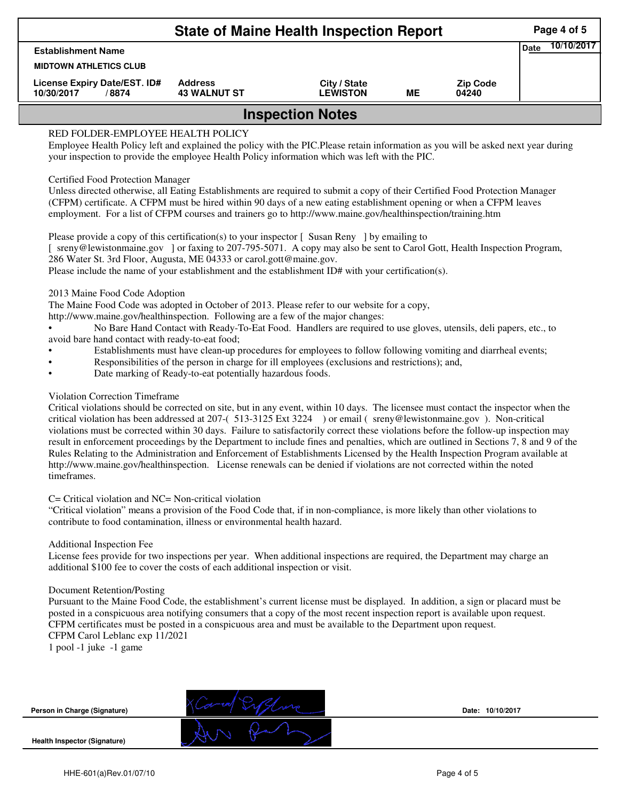|                                                      |                                       | Page 4 of 5                     |    |                          |             |            |  |  |  |
|------------------------------------------------------|---------------------------------------|---------------------------------|----|--------------------------|-------------|------------|--|--|--|
| <b>Establishment Name</b>                            |                                       |                                 |    |                          | <b>Date</b> | 10/10/2017 |  |  |  |
| <b>MIDTOWN ATHLETICS CLUB</b>                        |                                       |                                 |    |                          |             |            |  |  |  |
| License Expiry Date/EST. ID#<br>10/30/2017<br>/ 8874 | <b>Address</b><br><b>43 WALNUT ST</b> | City / State<br><b>LEWISTON</b> | MЕ | <b>Zip Code</b><br>04240 |             |            |  |  |  |
| <b>Inspection Notes</b>                              |                                       |                                 |    |                          |             |            |  |  |  |

# RED FOLDER-EMPLOYEE HEALTH POLICY

Employee Health Policy left and explained the policy with the PIC.Please retain information as you will be asked next year during your inspection to provide the employee Health Policy information which was left with the PIC.

## Certified Food Protection Manager

Unless directed otherwise, all Eating Establishments are required to submit a copy of their Certified Food Protection Manager (CFPM) certificate. A CFPM must be hired within 90 days of a new eating establishment opening or when a CFPM leaves employment. For a list of CFPM courses and trainers go to http://www.maine.gov/healthinspection/training.htm

Please provide a copy of this certification(s) to your inspector [Susan Reny ] by emailing to [ sreny@lewistonmaine.gov ] or faxing to 207-795-5071. A copy may also be sent to Carol Gott, Health Inspection Program, 286 Water St. 3rd Floor, Augusta, ME 04333 or carol.gott@maine.gov.

Please include the name of your establishment and the establishment ID# with your certification(s).

2013 Maine Food Code Adoption

The Maine Food Code was adopted in October of 2013. Please refer to our website for a copy,

http://www.maine.gov/healthinspection. Following are a few of the major changes:

• No Bare Hand Contact with Ready-To-Eat Food. Handlers are required to use gloves, utensils, deli papers, etc., to avoid bare hand contact with ready-to-eat food;

- Establishments must have clean-up procedures for employees to follow following vomiting and diarrheal events;
- Responsibilities of the person in charge for ill employees (exclusions and restrictions); and,
- Date marking of Ready-to-eat potentially hazardous foods.

### Violation Correction Timeframe

Critical violations should be corrected on site, but in any event, within 10 days. The licensee must contact the inspector when the critical violation has been addressed at 207-( 513-3125 Ext 3224 ) or email ( sreny@lewistonmaine.gov ). Non-critical violations must be corrected within 30 days. Failure to satisfactorily correct these violations before the follow-up inspection may result in enforcement proceedings by the Department to include fines and penalties, which are outlined in Sections 7, 8 and 9 of the Rules Relating to the Administration and Enforcement of Establishments Licensed by the Health Inspection Program available at http://www.maine.gov/healthinspection. License renewals can be denied if violations are not corrected within the noted timeframes.

#### C= Critical violation and NC= Non-critical violation

"Critical violation" means a provision of the Food Code that, if in non-compliance, is more likely than other violations to contribute to food contamination, illness or environmental health hazard.

#### Additional Inspection Fee

License fees provide for two inspections per year. When additional inspections are required, the Department may charge an additional \$100 fee to cover the costs of each additional inspection or visit.

#### Document Retention/Posting

Pursuant to the Maine Food Code, the establishment's current license must be displayed. In addition, a sign or placard must be posted in a conspicuous area notifying consumers that a copy of the most recent inspection report is available upon request. CFPM certificates must be posted in a conspicuous area and must be available to the Department upon request. CFPM Carol Leblanc exp 11/2021

1 pool -1 juke -1 game